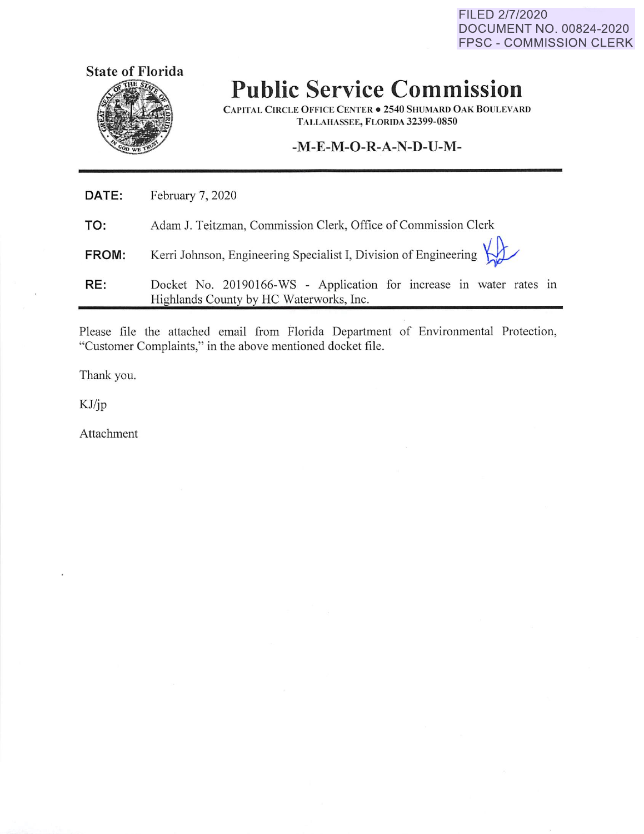FILED 2/7/2020 DOCUMENT NO. 00824-2020 FPSC - COMMISSION CLERK



## **Public Service Commission**

**CAPITAL CIRCLE OFFICE CENTER• 2540 SHUMARD OAK BOULEVARD TALLAHASSEE, FLORIDA 32399-0850** 

## **-M-E-M-O-R-A-N-D-U-M-**

| RE:   | Docket No. 20190166-WS - Application for increase in water rates in<br>Highlands County by HC Waterworks, Inc. |
|-------|----------------------------------------------------------------------------------------------------------------|
| FROM: | Kerri Johnson, Engineering Specialist I, Division of Engineering                                               |
| TO:   | Adam J. Teitzman, Commission Clerk, Office of Commission Clerk                                                 |
| DATE: | February 7, 2020                                                                                               |

Please file the attached email from Florida Department of Environmental Protection, "Customer Complaints," in the above mentioned docket file.

Thank you.

KJ/jp

Attachment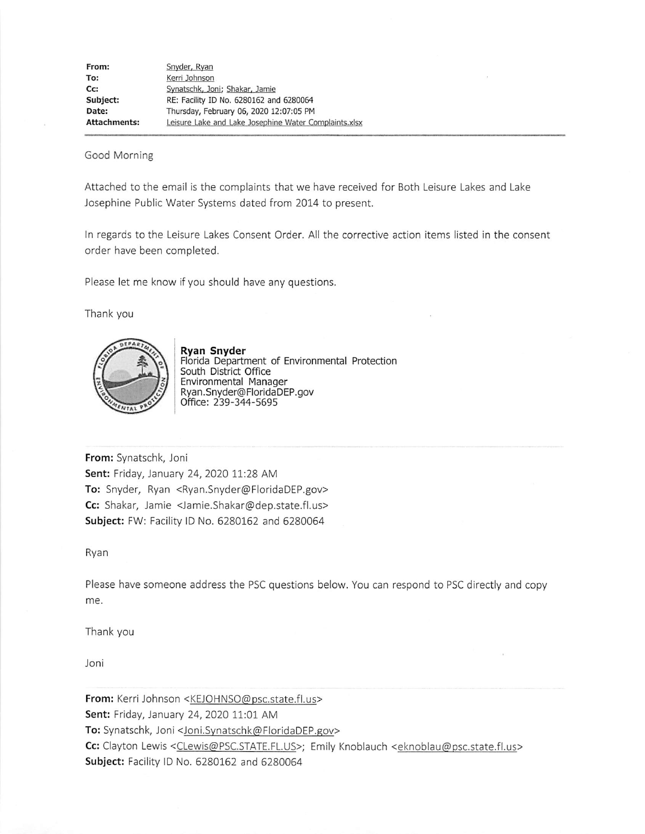| From:               | Snyder, Ryan                                          |
|---------------------|-------------------------------------------------------|
| To:                 | Kerri Johnson                                         |
| Cc:                 | Synatschk, Joni; Shakar, Jamie                        |
| Subject:            | RE: Facility ID No. 6280162 and 6280064               |
| Date:               | Thursday, February 06, 2020 12:07:05 PM               |
| <b>Attachments:</b> | Leisure Lake and Lake Josephine Water Complaints.xlsx |

## Good Morning

Attached to the email is the complaints that we have received for Both Leisure Lakes and Lake Josephine Public Water Systems dated from 2014 to present.

In regards to the Leisure Lakes Consent Order. All the corrective action items listed in the consent order have been completed.

Please let me know if you should have any questions.

Thank you



**Ryan Snyder**  Florida Department of Environmental Protection South District Office Environmental Manager Ryan.Snyder@FloridaDEP.gov Office: 239-344-5695

**From:** Synatschk, Joni **Sent:** Friday, January 24, 2020 11:28 AM **To:** Snyder, Ryan <Ryan.Snyder@FloridaDEP.gov> **Cc:** Shakar, Jamie <Jamie.Shakar@dep.state.fl.us> **Subject:** FW: Facility ID No. 6280162 and 6280064

Ryan

Please have someone address the PSC questions below. You can respond to PSC directly and copy me.

Thank you

Joni

From: Kerri Johnson <KEJOHNSO@psc.state.fl.us> **Sent:** Friday, January 24, 2020 11:01 AM **To:** Synatschk, Joni <Joni.Synatschk@FloridaDEP.gov> Cc: Clayton Lewis <CLewis@PSC.STATE.FL.US>; Emily Knoblauch <eknoblau@psc.state.fl.us> **Subject:** Facility ID No. 6280162 and 6280064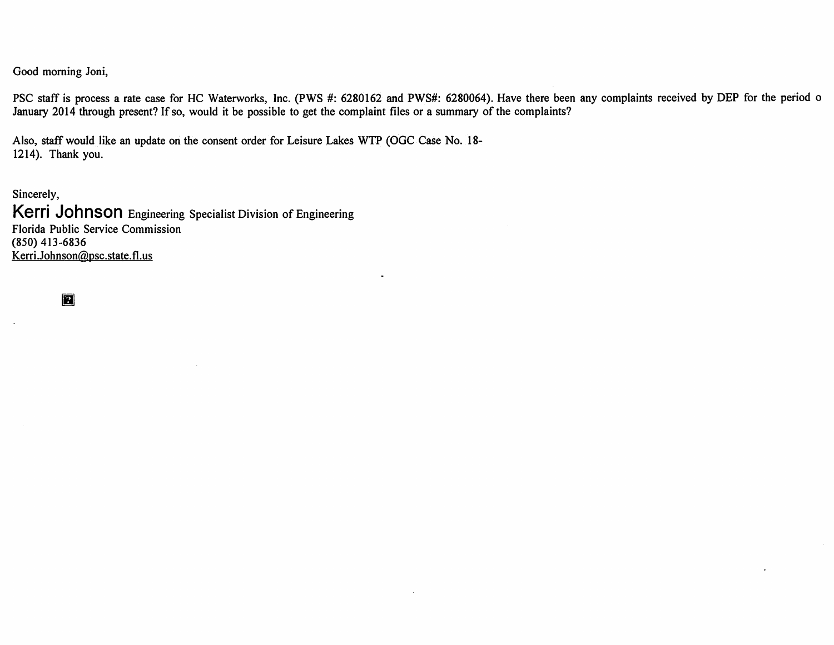Good morning Joni,

PSC staff is process a rate case for HC Waterworks, Inc. (PWS #: 6280162 and PWS#: 6280064). Have there been any complaints received by DEP for the period o January 2014 through present? If so, would it be possible to get the complaint files or a summary of the complaints?

Also, staff would like an update on the consent order for Leisure Lakes WTP (OGC Case No. 18-1214). Thank you.

Sincerely, **Kerri Johnson** Engineering Specialist Division of Engineering Florida Public Service Commission (850) 413-6836 Kerri.Johnson@psc.state.fl.us

**R**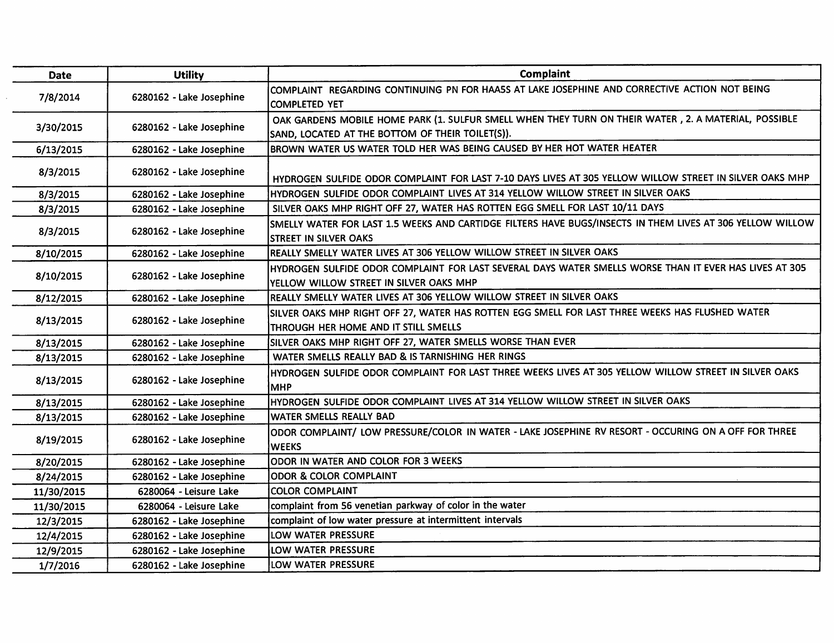| <b>Date</b> | <b>Utility</b>           | Complaint                                                                                                                                                |
|-------------|--------------------------|----------------------------------------------------------------------------------------------------------------------------------------------------------|
| 7/8/2014    | 6280162 - Lake Josephine | COMPLAINT REGARDING CONTINUING PN FOR HAA5S AT LAKE JOSEPHINE AND CORRECTIVE ACTION NOT BEING<br><b>COMPLETED YET</b>                                    |
| 3/30/2015   | 6280162 - Lake Josephine | OAK GARDENS MOBILE HOME PARK (1. SULFUR SMELL WHEN THEY TURN ON THEIR WATER, 2. A MATERIAL, POSSIBLE<br>SAND, LOCATED AT THE BOTTOM OF THEIR TOILET(S)). |
| 6/13/2015   | 6280162 - Lake Josephine | BROWN WATER US WATER TOLD HER WAS BEING CAUSED BY HER HOT WATER HEATER                                                                                   |
| 8/3/2015    | 6280162 - Lake Josephine | HYDROGEN SULFIDE ODOR COMPLAINT FOR LAST 7-10 DAYS LIVES AT 305 YELLOW WILLOW STREET IN SILVER OAKS MHP                                                  |
| 8/3/2015    | 6280162 - Lake Josephine | HYDROGEN SULFIDE ODOR COMPLAINT LIVES AT 314 YELLOW WILLOW STREET IN SILVER OAKS                                                                         |
| 8/3/2015    | 6280162 - Lake Josephine | SILVER OAKS MHP RIGHT OFF 27, WATER HAS ROTTEN EGG SMELL FOR LAST 10/11 DAYS                                                                             |
| 8/3/2015    | 6280162 - Lake Josephine | SMELLY WATER FOR LAST 1.5 WEEKS AND CARTIDGE FILTERS HAVE BUGS/INSECTS IN THEM LIVES AT 306 YELLOW WILLOW<br>STREET IN SILVER OAKS                       |
| 8/10/2015   | 6280162 - Lake Josephine | REALLY SMELLY WATER LIVES AT 306 YELLOW WILLOW STREET IN SILVER OAKS                                                                                     |
| 8/10/2015   | 6280162 - Lake Josephine | HYDROGEN SULFIDE ODOR COMPLAINT FOR LAST SEVERAL DAYS WATER SMELLS WORSE THAN IT EVER HAS LIVES AT 305<br>YELLOW WILLOW STREET IN SILVER OAKS MHP        |
| 8/12/2015   | 6280162 - Lake Josephine | REALLY SMELLY WATER LIVES AT 306 YELLOW WILLOW STREET IN SILVER OAKS                                                                                     |
| 8/13/2015   | 6280162 - Lake Josephine | SILVER OAKS MHP RIGHT OFF 27, WATER HAS ROTTEN EGG SMELL FOR LAST THREE WEEKS HAS FLUSHED WATER<br>THROUGH HER HOME AND IT STILL SMELLS                  |
| 8/13/2015   | 6280162 - Lake Josephine | SILVER OAKS MHP RIGHT OFF 27, WATER SMELLS WORSE THAN EVER                                                                                               |
| 8/13/2015   | 6280162 - Lake Josephine | WATER SMELLS REALLY BAD & IS TARNISHING HER RINGS                                                                                                        |
| 8/13/2015   | 6280162 - Lake Josephine | HYDROGEN SULFIDE ODOR COMPLAINT FOR LAST THREE WEEKS LIVES AT 305 YELLOW WILLOW STREET IN SILVER OAKS<br>Імнр                                            |
| 8/13/2015   | 6280162 - Lake Josephine | HYDROGEN SULFIDE ODOR COMPLAINT LIVES AT 314 YELLOW WILLOW STREET IN SILVER OAKS                                                                         |
| 8/13/2015   | 6280162 - Lake Josephine | WATER SMELLS REALLY BAD                                                                                                                                  |
| 8/19/2015   | 6280162 - Lake Josephine | ODOR COMPLAINT/ LOW PRESSURE/COLOR IN WATER - LAKE JOSEPHINE RV RESORT - OCCURING ON A OFF FOR THREE<br><b>WEEKS</b>                                     |
| 8/20/2015   | 6280162 - Lake Josephine | ODOR IN WATER AND COLOR FOR 3 WEEKS                                                                                                                      |
| 8/24/2015   | 6280162 - Lake Josephine | ODOR & COLOR COMPLAINT                                                                                                                                   |
| 11/30/2015  | 6280064 - Leisure Lake   | <b>COLOR COMPLAINT</b>                                                                                                                                   |
| 11/30/2015  | 6280064 - Leisure Lake   | complaint from 56 venetian parkway of color in the water                                                                                                 |
| 12/3/2015   | 6280162 - Lake Josephine | complaint of low water pressure at intermittent intervals                                                                                                |
| 12/4/2015   | 6280162 - Lake Josephine | LOW WATER PRESSURE                                                                                                                                       |
| 12/9/2015   | 6280162 - Lake Josephine | LOW WATER PRESSURE                                                                                                                                       |
| 1/7/2016    | 6280162 - Lake Josephine | LOW WATER PRESSURE                                                                                                                                       |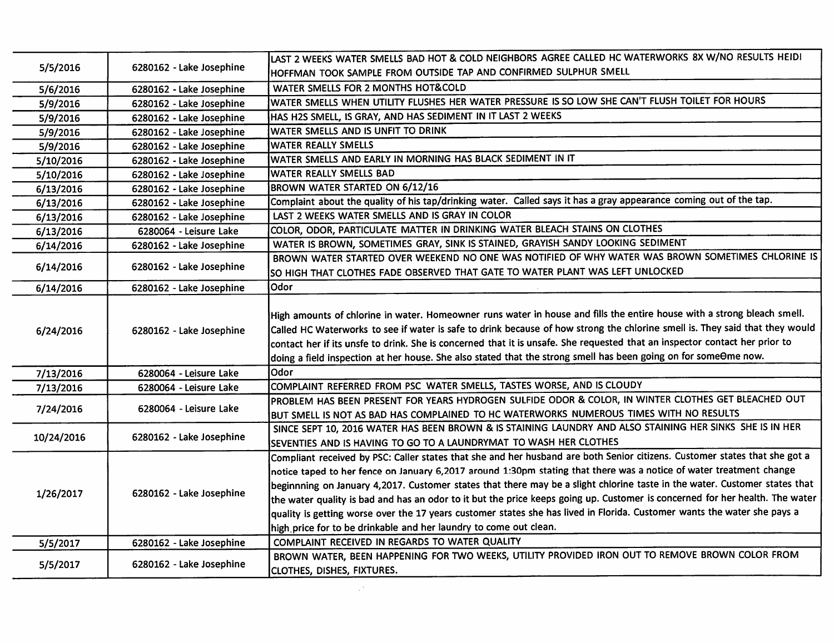| 5/5/2016   | 6280162 - Lake Josephine | LAST 2 WEEKS WATER SMELLS BAD HOT & COLD NEIGHBORS AGREE CALLED HC WATERWORKS 8X W/NO RESULTS HEIDI                                                                                                                                                                                                                                                                                                                                                                                                                                                                                                                                                                                                              |
|------------|--------------------------|------------------------------------------------------------------------------------------------------------------------------------------------------------------------------------------------------------------------------------------------------------------------------------------------------------------------------------------------------------------------------------------------------------------------------------------------------------------------------------------------------------------------------------------------------------------------------------------------------------------------------------------------------------------------------------------------------------------|
|            |                          | HOFFMAN TOOK SAMPLE FROM OUTSIDE TAP AND CONFIRMED SULPHUR SMELL                                                                                                                                                                                                                                                                                                                                                                                                                                                                                                                                                                                                                                                 |
| 5/6/2016   | 6280162 - Lake Josephine | WATER SMELLS FOR 2 MONTHS HOT&COLD                                                                                                                                                                                                                                                                                                                                                                                                                                                                                                                                                                                                                                                                               |
| 5/9/2016   | 6280162 - Lake Josephine | WATER SMELLS WHEN UTILITY FLUSHES HER WATER PRESSURE IS SO LOW SHE CAN'T FLUSH TOILET FOR HOURS                                                                                                                                                                                                                                                                                                                                                                                                                                                                                                                                                                                                                  |
| 5/9/2016   | 6280162 - Lake Josephine | HAS H2S SMELL, IS GRAY, AND HAS SEDIMENT IN IT LAST 2 WEEKS                                                                                                                                                                                                                                                                                                                                                                                                                                                                                                                                                                                                                                                      |
| 5/9/2016   | 6280162 - Lake Josephine | WATER SMELLS AND IS UNFIT TO DRINK                                                                                                                                                                                                                                                                                                                                                                                                                                                                                                                                                                                                                                                                               |
| 5/9/2016   | 6280162 - Lake Josephine | <b>WATER REALLY SMELLS</b>                                                                                                                                                                                                                                                                                                                                                                                                                                                                                                                                                                                                                                                                                       |
| 5/10/2016  | 6280162 - Lake Josephine | WATER SMELLS AND EARLY IN MORNING HAS BLACK SEDIMENT IN IT                                                                                                                                                                                                                                                                                                                                                                                                                                                                                                                                                                                                                                                       |
| 5/10/2016  | 6280162 - Lake Josephine | WATER REALLY SMELLS BAD                                                                                                                                                                                                                                                                                                                                                                                                                                                                                                                                                                                                                                                                                          |
| 6/13/2016  | 6280162 - Lake Josephine | BROWN WATER STARTED ON 6/12/16                                                                                                                                                                                                                                                                                                                                                                                                                                                                                                                                                                                                                                                                                   |
| 6/13/2016  | 6280162 - Lake Josephine | Complaint about the quality of his tap/drinking water. Called says it has a gray appearance coming out of the tap.                                                                                                                                                                                                                                                                                                                                                                                                                                                                                                                                                                                               |
| 6/13/2016  | 6280162 - Lake Josephine | LAST 2 WEEKS WATER SMELLS AND IS GRAY IN COLOR                                                                                                                                                                                                                                                                                                                                                                                                                                                                                                                                                                                                                                                                   |
| 6/13/2016  | 6280064 - Leisure Lake   | COLOR, ODOR, PARTICULATE MATTER IN DRINKING WATER BLEACH STAINS ON CLOTHES                                                                                                                                                                                                                                                                                                                                                                                                                                                                                                                                                                                                                                       |
| 6/14/2016  | 6280162 - Lake Josephine | WATER IS BROWN, SOMETIMES GRAY, SINK IS STAINED, GRAYISH SANDY LOOKING SEDIMENT                                                                                                                                                                                                                                                                                                                                                                                                                                                                                                                                                                                                                                  |
|            |                          | BROWN WATER STARTED OVER WEEKEND NO ONE WAS NOTIFIED OF WHY WATER WAS BROWN SOMETIMES CHLORINE IS                                                                                                                                                                                                                                                                                                                                                                                                                                                                                                                                                                                                                |
| 6/14/2016  | 6280162 - Lake Josephine | SO HIGH THAT CLOTHES FADE OBSERVED THAT GATE TO WATER PLANT WAS LEFT UNLOCKED                                                                                                                                                                                                                                                                                                                                                                                                                                                                                                                                                                                                                                    |
| 6/14/2016  | 6280162 - Lake Josephine | Odor                                                                                                                                                                                                                                                                                                                                                                                                                                                                                                                                                                                                                                                                                                             |
| 6/24/2016  | 6280162 - Lake Josephine | High amounts of chlorine in water. Homeowner runs water in house and fills the entire house with a strong bleach smell.<br>Called HC Waterworks to see if water is safe to drink because of how strong the chlorine smell is. They said that they would<br>contact her if its unsfe to drink. She is concerned that it is unsafe. She requested that an inspector contact her prior to<br>doing a field inspection at her house. She also stated that the strong smell has been going on for someOme now.                                                                                                                                                                                                        |
| 7/13/2016  | 6280064 - Leisure Lake   | Odor                                                                                                                                                                                                                                                                                                                                                                                                                                                                                                                                                                                                                                                                                                             |
| 7/13/2016  | 6280064 - Leisure Lake   | COMPLAINT REFERRED FROM PSC WATER SMELLS, TASTES WORSE, AND IS CLOUDY                                                                                                                                                                                                                                                                                                                                                                                                                                                                                                                                                                                                                                            |
|            | 6280064 - Leisure Lake   | PROBLEM HAS BEEN PRESENT FOR YEARS HYDROGEN SULFIDE ODOR & COLOR, IN WINTER CLOTHES GET BLEACHED OUT                                                                                                                                                                                                                                                                                                                                                                                                                                                                                                                                                                                                             |
| 7/24/2016  |                          | BUT SMELL IS NOT AS BAD HAS COMPLAINED TO HC WATERWORKS NUMEROUS TIMES WITH NO RESULTS                                                                                                                                                                                                                                                                                                                                                                                                                                                                                                                                                                                                                           |
|            |                          | SINCE SEPT 10, 2016 WATER HAS BEEN BROWN & IS STAINING LAUNDRY AND ALSO STAINING HER SINKS SHE IS IN HER                                                                                                                                                                                                                                                                                                                                                                                                                                                                                                                                                                                                         |
| 10/24/2016 | 6280162 - Lake Josephine | SEVENTIES AND IS HAVING TO GO TO A LAUNDRYMAT TO WASH HER CLOTHES                                                                                                                                                                                                                                                                                                                                                                                                                                                                                                                                                                                                                                                |
| 1/26/2017  | 6280162 - Lake Josephine | Compliant received by PSC: Caller states that she and her husband are both Senior citizens. Customer states that she got a<br>notice taped to her fence on January 6,2017 around 1:30pm stating that there was a notice of water treatment change<br>beginnning on January 4,2017. Customer states that there may be a slight chlorine taste in the water. Customer states that<br>the water quality is bad and has an odor to it but the price keeps going up. Customer is concerned for her health. The water<br>quality is getting worse over the 17 years customer states she has lived in Florida. Customer wants the water she pays a<br>high price for to be drinkable and her laundry to come out clean. |
| 5/5/2017   | 6280162 - Lake Josephine | COMPLAINT RECEIVED IN REGARDS TO WATER QUALITY                                                                                                                                                                                                                                                                                                                                                                                                                                                                                                                                                                                                                                                                   |
| 5/5/2017   | 6280162 - Lake Josephine | BROWN WATER, BEEN HAPPENING FOR TWO WEEKS, UTILITY PROVIDED IRON OUT TO REMOVE BROWN COLOR FROM<br>CLOTHES, DISHES, FIXTURES.                                                                                                                                                                                                                                                                                                                                                                                                                                                                                                                                                                                    |

 $\mathcal{L}(\mathcal{L}(\mathcal{L}))$  and  $\mathcal{L}(\mathcal{L}(\mathcal{L}))$  . The contribution of  $\mathcal{L}(\mathcal{L})$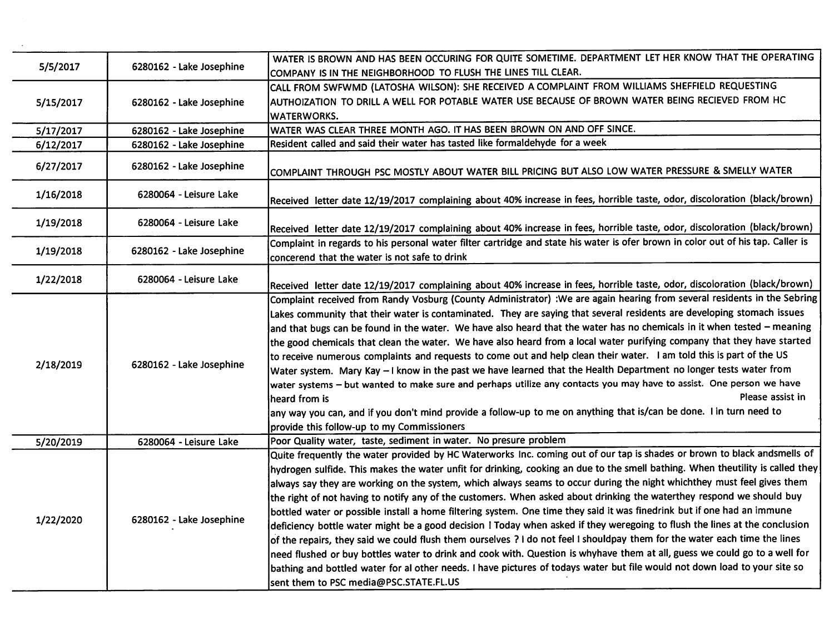| 5/5/2017  | 6280162 - Lake Josephine | WATER IS BROWN AND HAS BEEN OCCURING FOR QUITE SOMETIME. DEPARTMENT LET HER KNOW THAT THE OPERATING<br>COMPANY IS IN THE NEIGHBORHOOD TO FLUSH THE LINES TILL CLEAR. |
|-----------|--------------------------|----------------------------------------------------------------------------------------------------------------------------------------------------------------------|
|           |                          | CALL FROM SWFWMD (LATOSHA WILSON): SHE RECEIVED A COMPLAINT FROM WILLIAMS SHEFFIELD REQUESTING                                                                       |
| 5/15/2017 | 6280162 - Lake Josephine | AUTHOIZATION TO DRILL A WELL FOR POTABLE WATER USE BECAUSE OF BROWN WATER BEING RECIEVED FROM HC                                                                     |
|           |                          | <b>WATERWORKS.</b>                                                                                                                                                   |
| 5/17/2017 | 6280162 - Lake Josephine | WATER WAS CLEAR THREE MONTH AGO. IT HAS BEEN BROWN ON AND OFF SINCE.                                                                                                 |
| 6/12/2017 | 6280162 - Lake Josephine | Resident called and said their water has tasted like formaldehyde for a week                                                                                         |
|           |                          |                                                                                                                                                                      |
| 6/27/2017 | 6280162 - Lake Josephine | COMPLAINT THROUGH PSC MOSTLY ABOUT WATER BILL PRICING BUT ALSO LOW WATER PRESSURE & SMELLY WATER                                                                     |
| 1/16/2018 | 6280064 - Leisure Lake   |                                                                                                                                                                      |
|           |                          | Received letter date 12/19/2017 complaining about 40% increase in fees, horrible taste, odor, discoloration (black/brown)                                            |
| 1/19/2018 | 6280064 - Leisure Lake   |                                                                                                                                                                      |
|           |                          | Received letter date 12/19/2017 complaining about 40% increase in fees, horrible taste, odor, discoloration (black/brown)                                            |
| 1/19/2018 | 6280162 - Lake Josephine | Complaint in regards to his personal water filter cartridge and state his water is ofer brown in color out of his tap. Caller is                                     |
|           |                          | concerend that the water is not safe to drink                                                                                                                        |
| 1/22/2018 | 6280064 - Leisure Lake   | Received letter date 12/19/2017 complaining about 40% increase in fees, horrible taste, odor, discoloration (black/brown)                                            |
|           | 6280162 - Lake Josephine | Complaint received from Randy Vosburg (County Administrator) : We are again hearing from several residents in the Sebring                                            |
|           |                          | Lakes community that their water is contaminated. They are saying that several residents are developing stomach issues                                               |
|           |                          | and that bugs can be found in the water. We have also heard that the water has no chemicals in it when tested - meaning                                              |
|           |                          | the good chemicals that clean the water. We have also heard from a local water purifying company that they have started                                              |
|           |                          | to receive numerous complaints and requests to come out and help clean their water. I am told this is part of the US                                                 |
| 2/18/2019 |                          | Water system. Mary Kay - I know in the past we have learned that the Health Department no longer tests water from                                                    |
|           |                          | water systems - but wanted to make sure and perhaps utilize any contacts you may have to assist. One person we have                                                  |
|           |                          | Please assist in<br>heard from is                                                                                                                                    |
|           |                          | any way you can, and if you don't mind provide a follow-up to me on anything that is/can be done. I in turn need to                                                  |
|           |                          | provide this follow-up to my Commissioners                                                                                                                           |
| 5/20/2019 | 6280064 - Leisure Lake   | Poor Quality water, taste, sediment in water. No presure problem                                                                                                     |
|           |                          | Quite frequently the water provided by HC Waterworks Inc. coming out of our tap is shades or brown to black andsmells of                                             |
|           | 6280162 - Lake Josephine | hydrogen sulfide. This makes the water unfit for drinking, cooking an due to the smell bathing. When theutility is called they                                       |
|           |                          | always say they are working on the system, which always seams to occur during the night whichthey must feel gives them                                               |
|           |                          | the right of not having to notify any of the customers. When asked about drinking the waterthey respond we should buy                                                |
| 1/22/2020 |                          | bottled water or possible install a home filtering system. One time they said it was finedrink but if one had an immune                                              |
|           |                          | deficiency bottle water might be a good decision ! Today when asked if they weregoing to flush the lines at the conclusion                                           |
|           |                          | of the repairs, they said we could flush them ourselves ? I do not feel I shouldpay them for the water each time the lines                                           |
|           |                          | need flushed or buy bottles water to drink and cook with. Question is whyhave them at all, guess we could go to a well for                                           |
|           |                          | bathing and bottled water for al other needs. I have pictures of todays water but file would not down load to your site so                                           |
|           |                          | sent them to PSC media@PSC.STATE.FL.US                                                                                                                               |